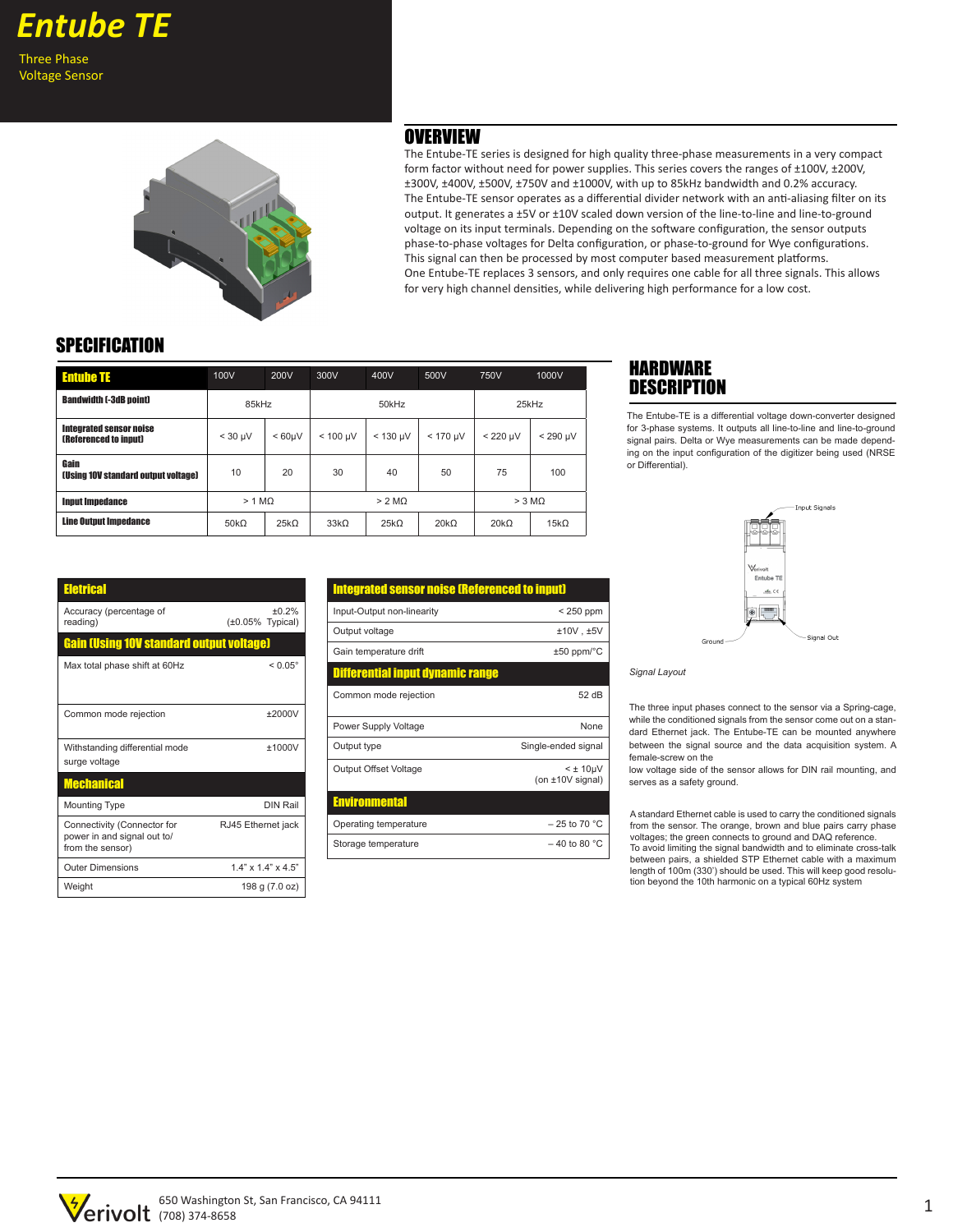Voltage Sensor



The Entube-TE series is designed for high quality three-phase measurements in a very compact form factor without need for power supplies. This series covers the ranges of ±100V, ±200V, ±300V, ±400V, ±500V, ±750V and ±1000V, with up to 85kHz bandwidth and 0.2% accuracy. The Entube-TE sensor operates as a differential divider network with an anti-aliasing filter on its output. It generates a ±5V or ±10V scaled down version of the line-to-line and line-to-ground voltage on its input terminals. Depending on the software configuration, the sensor outputs phase-to-phase voltages for Delta configuration, or phase-to-ground for Wye configurations. This signal can then be processed by most computer based measurement platforms. One Entube-TE replaces 3 sensors, and only requires one cable for all three signals. This allows for very high channel densities, while delivering high performance for a low cost. **OVERVIEW** 

## **SPECIFICATION**

| <b>Entube TE</b>                                               | 100V               | 200V   | 300V             | 400V          | 500V          | 750V             | 1000V         |
|----------------------------------------------------------------|--------------------|--------|------------------|---------------|---------------|------------------|---------------|
| <b>Bandwidth (-3dB point)</b>                                  | 85kHz              |        | 50kHz            |               |               | 25kHz            |               |
| <b>Integrated sensor noise</b><br><b>(Referenced to input)</b> | $<$ 30 µV          | < 60uV | $< 100$ uV       | $< 130 \mu V$ | $< 170 \mu V$ | $< 220$ uV       | $< 290 \mu V$ |
| Gain<br>(Using 10V standard output voltage)                    | 10                 | 20     | 30               | 40            | 50            | 75               | 100           |
| <b>Input Impedance</b>                                         | > 1 M <sub>O</sub> |        | $> 2$ MO         |               |               | $> 3 \text{ MO}$ |               |
| <b>Line Output Impedance</b>                                   | $50k\Omega$        | 25kO   | 33k <sub>O</sub> | 25kO          | 20kO          | 20k <sub>O</sub> | $15k\Omega$   |

## **HARDWARE DESCRIPTION**

The Entube-TE is a differential voltage down-converter designed for 3-phase systems. It outputs all line-to-line and line-to-ground signal pairs. Delta or Wye measurements can be made depending on the input configuration of the digitizer being used (NRSE or Differential).

| Eletrical                                                                      |                                 |
|--------------------------------------------------------------------------------|---------------------------------|
| Accuracy (percentage of<br>reading)                                            | ±0.2%<br>$(\pm 0.05\%$ Typical) |
| <b>Gain (Using 10V standard output voltage)</b>                                |                                 |
| Max total phase shift at 60Hz                                                  | $< 0.05^{\circ}$                |
| Common mode rejection                                                          | $+2000V$                        |
| Withstanding differential mode<br>surge voltage                                | ±1000V                          |
| <b>Mechanical</b>                                                              |                                 |
| <b>Mounting Type</b>                                                           | <b>DIN Rail</b>                 |
| Connectivity (Connector for<br>power in and signal out to/<br>from the sensor) | RJ45 Ethernet jack              |
| <b>Outer Dimensions</b>                                                        | $1.4" \times 1.4" \times 4.5"$  |
| Weight                                                                         | 198 g (7.0 oz)                  |
|                                                                                |                                 |

| <b>Integrated sensor noise (Referenced to input)</b> |                                            |  |  |  |  |
|------------------------------------------------------|--------------------------------------------|--|--|--|--|
| Input-Output non-linearity                           | $< 250$ ppm                                |  |  |  |  |
| Output voltage                                       | $±10V$ , $±5V$                             |  |  |  |  |
| Gain temperature drift                               | $±50$ ppm/ $°C$                            |  |  |  |  |
| <b>Differential input dynamic range</b>              |                                            |  |  |  |  |
| Common mode rejection                                | 52 dB                                      |  |  |  |  |
| Power Supply Voltage                                 | None                                       |  |  |  |  |
| Output type                                          | Single-ended signal                        |  |  |  |  |
| Output Offset Voltage                                | $<$ $\pm$ 10 $\mu$ V<br>(on $±10V$ signal) |  |  |  |  |
| <b>Environmental</b>                                 |                                            |  |  |  |  |
| Operating temperature                                | $-25$ to 70 °C                             |  |  |  |  |
| Storage temperature                                  | $-40$ to 80 °C                             |  |  |  |  |



*Signal Layout*

The three input phases connect to the sensor via a Spring-cage, while the conditioned signals from the sensor come out on a standard Ethernet jack. The Entube-TE can be mounted anywhere between the signal source and the data acquisition system. A female-screw on the

low voltage side of the sensor allows for DIN rail mounting, and serves as a safety ground.

A standard Ethernet cable is used to carry the conditioned signals from the sensor. The orange, brown and blue pairs carry phase voltages; the green connects to ground and DAQ reference. To avoid limiting the signal bandwidth and to eliminate cross-talk between pairs, a shielded STP Ethernet cable with a maximum length of 100m (330') should be used. This will keep good resolu-

tion beyond the 10th harmonic on a typical 60Hz system

1 650 Washington St, San Francisco, CA 94111 (708) 374-8658